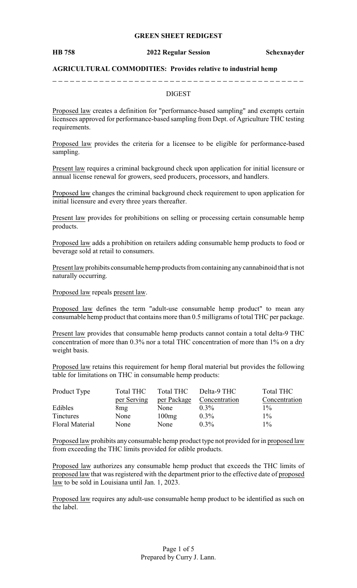### **GREEN SHEET REDIGEST**

#### **HB 758 2022 Regular Session Schexnayder**

### **AGRICULTURAL COMMODITIES: Provides relative to industrial hemp**

### DIGEST

Proposed law creates a definition for "performance-based sampling" and exempts certain licensees approved for performance-based sampling from Dept. of Agriculture THC testing requirements.

Proposed law provides the criteria for a licensee to be eligible for performance-based sampling.

Present law requires a criminal background check upon application for initial licensure or annual license renewal for growers, seed producers, processors, and handlers.

Proposed law changes the criminal background check requirement to upon application for initial licensure and every three years thereafter.

Present law provides for prohibitions on selling or processing certain consumable hemp products.

Proposed law adds a prohibition on retailers adding consumable hemp products to food or beverage sold at retail to consumers.

Present law prohibits consumable hemp products from containing anycannabinoid that is not naturally occurring.

Proposed law repeals present law.

Proposed law defines the term "adult-use consumable hemp product" to mean any consumable hemp product that contains more than 0.5 milligrams of total THC per package.

Present law provides that consumable hemp products cannot contain a total delta-9 THC concentration of more than 0.3% nor a total THC concentration of more than 1% on a dry weight basis.

Proposed law retains this requirement for hemp floral material but provides the following table for limitations on THC in consumable hemp products:

| Product Type           | <b>Total THC</b> | <b>Total THC</b> | Delta-9 THC   | Total THC     |
|------------------------|------------------|------------------|---------------|---------------|
|                        | per Serving      | per Package      | Concentration | Concentration |
| Edibles                | 8mg              | None             | $0.3\%$       | $1\%$         |
| <b>Tinctures</b>       | None             | 100mg            | $0.3\%$       | $1\%$         |
| <b>Floral Material</b> | None             | None             | $0.3\%$       | $1\%$         |

Proposed law prohibits any consumable hemp product type not provided for in proposed law from exceeding the THC limits provided for edible products.

Proposed law authorizes any consumable hemp product that exceeds the THC limits of proposed law that was registered with the department prior to the effective date of proposed law to be sold in Louisiana until Jan. 1, 2023.

Proposed law requires any adult-use consumable hemp product to be identified as such on the label.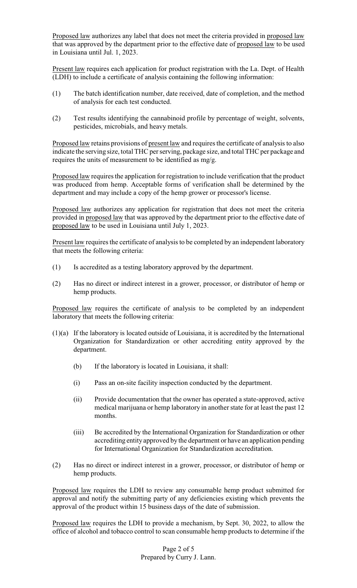Proposed law authorizes any label that does not meet the criteria provided in proposed law that was approved by the department prior to the effective date of proposed law to be used in Louisiana until Jul. 1, 2023.

Present law requires each application for product registration with the La. Dept. of Health (LDH) to include a certificate of analysis containing the following information:

- (1) The batch identification number, date received, date of completion, and the method of analysis for each test conducted.
- (2) Test results identifying the cannabinoid profile by percentage of weight, solvents, pesticides, microbials, and heavy metals.

Proposed law retains provisions of present law and requires the certificate of analysis to also indicate the serving size, total THC per serving, package size, and total THC per package and requires the units of measurement to be identified as mg/g.

Proposed law requires the application for registration to include verification that the product was produced from hemp. Acceptable forms of verification shall be determined by the department and may include a copy of the hemp grower or processor's license.

Proposed law authorizes any application for registration that does not meet the criteria provided in proposed law that was approved by the department prior to the effective date of proposed law to be used in Louisiana until July 1, 2023.

Present law requires the certificate of analysis to be completed by an independent laboratory that meets the following criteria:

- (1) Is accredited as a testing laboratory approved by the department.
- (2) Has no direct or indirect interest in a grower, processor, or distributor of hemp or hemp products.

Proposed law requires the certificate of analysis to be completed by an independent laboratory that meets the following criteria:

- (1)(a) If the laboratory is located outside of Louisiana, it is accredited by the International Organization for Standardization or other accrediting entity approved by the department.
	- (b) If the laboratory is located in Louisiana, it shall:
	- (i) Pass an on-site facility inspection conducted by the department.
	- (ii) Provide documentation that the owner has operated a state-approved, active medical marijuana or hemp laboratory in another state for at least the past 12 months.
	- (iii) Be accredited by the International Organization for Standardization or other accrediting entity approved by the department or have an application pending for International Organization for Standardization accreditation.
- (2) Has no direct or indirect interest in a grower, processor, or distributor of hemp or hemp products.

Proposed law requires the LDH to review any consumable hemp product submitted for approval and notify the submitting party of any deficiencies existing which prevents the approval of the product within 15 business days of the date of submission.

Proposed law requires the LDH to provide a mechanism, by Sept. 30, 2022, to allow the office of alcohol and tobacco control to scan consumable hemp products to determine if the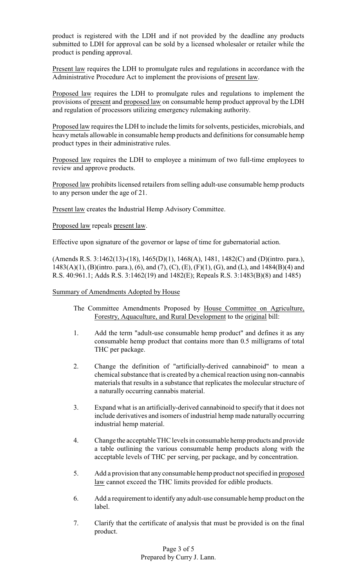product is registered with the LDH and if not provided by the deadline any products submitted to LDH for approval can be sold by a licensed wholesaler or retailer while the product is pending approval.

Present law requires the LDH to promulgate rules and regulations in accordance with the Administrative Procedure Act to implement the provisions of present law.

Proposed law requires the LDH to promulgate rules and regulations to implement the provisions of present and proposed law on consumable hemp product approval by the LDH and regulation of processors utilizing emergency rulemaking authority.

Proposed law requires the LDH to include the limits for solvents, pesticides, microbials, and heavymetals allowable in consumable hemp products and definitions for consumable hemp product types in their administrative rules.

Proposed law requires the LDH to employee a minimum of two full-time employees to review and approve products.

Proposed law prohibits licensed retailers from selling adult-use consumable hemp products to any person under the age of 21.

Present law creates the Industrial Hemp Advisory Committee.

## Proposed law repeals present law.

Effective upon signature of the governor or lapse of time for gubernatorial action.

(Amends R.S. 3:1462(13)-(18), 1465(D)(1), 1468(A), 1481, 1482(C) and (D)(intro. para.), 1483(A)(1), (B)(intro. para.), (6), and (7), (C), (E), (F)(1), (G), and (L), and 1484(B)(4) and R.S. 40:961.1; Adds R.S. 3:1462(19) and 1482(E); Repeals R.S. 3:1483(B)(8) and 1485)

## Summary of Amendments Adopted by House

The Committee Amendments Proposed by House Committee on Agriculture, Forestry, Aquaculture, and Rural Development to the original bill:

- 1. Add the term "adult-use consumable hemp product" and defines it as any consumable hemp product that contains more than 0.5 milligrams of total THC per package.
- 2. Change the definition of "artificially-derived cannabinoid" to mean a chemical substance that is created by a chemical reaction using non-cannabis materials that results in a substance that replicates the molecular structure of a naturally occurring cannabis material.
- 3. Expand what is an artificially-derived cannabinoid to specify that it does not include derivatives and isomers of industrial hemp made naturally occurring industrial hemp material.
- 4. Change the acceptable THC levels in consumable hemp products and provide a table outlining the various consumable hemp products along with the acceptable levels of THC per serving, per package, and by concentration.
- 5. Add a provision that any consumable hemp product not specified in proposed law cannot exceed the THC limits provided for edible products.
- 6. Add a requirement to identify any adult-use consumable hemp product on the label.
- 7. Clarify that the certificate of analysis that must be provided is on the final product.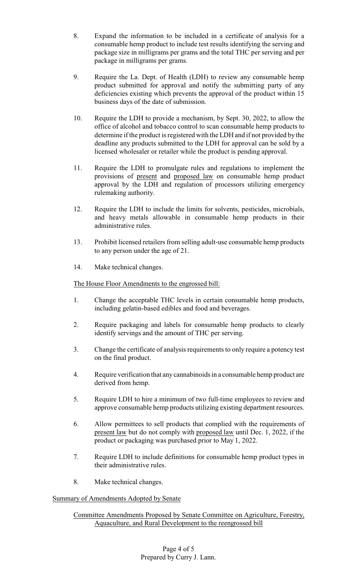- 8. Expand the information to be included in a certificate of analysis for a consumable hemp product to include test results identifying the serving and package size in milligrams per grams and the total THC per serving and per package in milligrams per grams.
- 9. Require the La. Dept. of Health (LDH) to review any consumable hemp product submitted for approval and notify the submitting party of any deficiencies existing which prevents the approval of the product within 15 business days of the date of submission.
- 10. Require the LDH to provide a mechanism, by Sept. 30, 2022, to allow the office of alcohol and tobacco control to scan consumable hemp products to determine if the product is registered with the LDH and if not provided by the deadline any products submitted to the LDH for approval can be sold by a licensed wholesaler or retailer while the product is pending approval.
- 11. Require the LDH to promulgate rules and regulations to implement the provisions of present and proposed law on consumable hemp product approval by the LDH and regulation of processors utilizing emergency rulemaking authority.
- 12. Require the LDH to include the limits for solvents, pesticides, microbials, and heavy metals allowable in consumable hemp products in their administrative rules.
- 13. Prohibit licensed retailers from selling adult-use consumable hemp products to any person under the age of 21.
- 14. Make technical changes.

The House Floor Amendments to the engrossed bill:

- 1. Change the acceptable THC levels in certain consumable hemp products, including gelatin-based edibles and food and beverages.
- 2. Require packaging and labels for consumable hemp products to clearly identify servings and the amount of THC per serving.
- 3. Change the certificate of analysis requirements to only require a potency test on the final product.
- 4. Require verification that any cannabinoids in a consumable hemp product are derived from hemp.
- 5. Require LDH to hire a minimum of two full-time employees to review and approve consumable hemp products utilizing existing department resources.
- 6. Allow permittees to sell products that complied with the requirements of present law but do not comply with proposed law until Dec. 1, 2022, if the product or packaging was purchased prior to May 1, 2022.
- 7. Require LDH to include definitions for consumable hemp product types in their administrative rules.
- 8. Make technical changes.

# Summary of Amendments Adopted by Senate

# Committee Amendments Proposed by Senate Committee on Agriculture, Forestry, Aquaculture, and Rural Development to the reengrossed bill